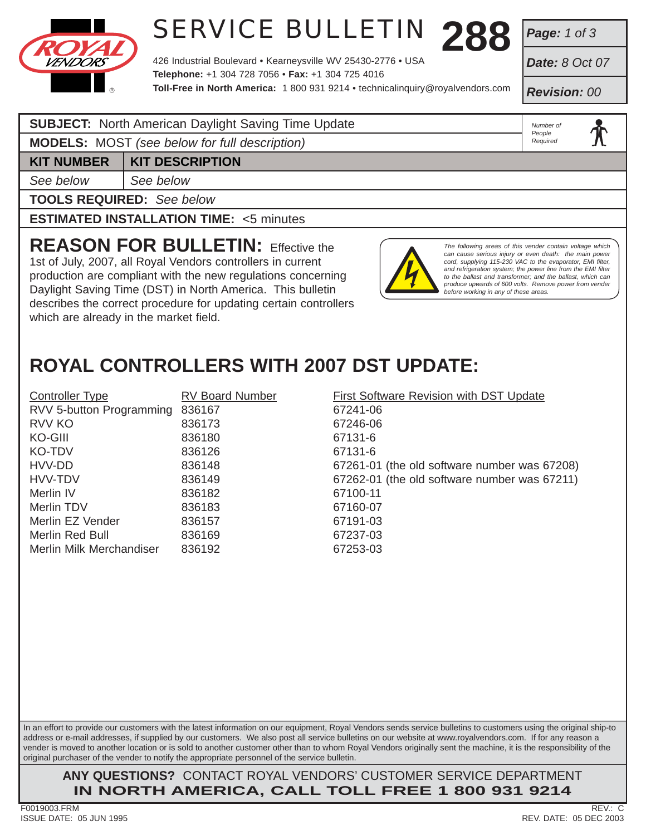

# **288** SERVICE BULLETIN

426 Industrial Boulevard • Kearneysville WV 25430-2776 • USA **Telephone:** +1 304 728 7056 • **Fax:** +1 304 725 4016 **Toll-Free in North America:** 1 800 931 9214 • technicalinquiry@royalvendors.com *Page: 1 of 3*

*Date: 8 Oct 07*

*Revision: 00*

*Number of People Required*

### **SUBJECT:** North American Daylight Saving Time Update

**MODELS:** MOST *(see below for full description)*

**KIT NUMBER KIT DESCRIPTION** 

*See below See below*

**TOOLS REQUIRED:** *See below*

**ESTIMATED INSTALLATION TIME:** <5 minutes

**REASON FOR BULLETIN:** Effective the 1st of July, 2007, all Royal Vendors controllers in current production are compliant with the new regulations concerning Daylight Saving Time (DST) in North America. This bulletin describes the correct procedure for updating certain controllers which are already in the market field.



*The following areas of this vender contain voltage which can cause serious injury or even death: the main power cord, supplying 115-230 VAC to the evaporator, EMI filter, and refrigeration system; the power line from the EMI filter to the ballast and transformer; and the ballast, which can produce upwards of 600 volts. Remove power from vender before working in any of these areas.*

## **ROYAL CONTROLLERS WITH 2007 DST UPDATE:**

| <b>Controller Type</b>   | <b>RV Board Number</b> | First Software Revision with DST Update      |
|--------------------------|------------------------|----------------------------------------------|
| RVV 5-button Programming | 836167                 | 67241-06                                     |
| RVV KO                   | 836173                 | 67246-06                                     |
| KO-GIII                  | 836180                 | 67131-6                                      |
| KO-TDV                   | 836126                 | 67131-6                                      |
| HVV-DD                   | 836148                 | 67261-01 (the old software number was 67208) |
| HVV-TDV                  | 836149                 | 67262-01 (the old software number was 67211) |
| Merlin IV                | 836182                 | 67100-11                                     |
| Merlin TDV               | 836183                 | 67160-07                                     |
| Merlin EZ Vender         | 836157                 | 67191-03                                     |
| Merlin Red Bull          | 836169                 | 67237-03                                     |
| Merlin Milk Merchandiser | 836192                 | 67253-03                                     |
|                          |                        |                                              |

In an effort to provide our customers with the latest information on our equipment, Royal Vendors sends service bulletins to customers using the original ship-to address or e-mail addresses, if supplied by our customers. We also post all service bulletins on our website at www.royalvendors.com. If for any reason a vender is moved to another location or is sold to another customer other than to whom Royal Vendors originally sent the machine, it is the responsibility of the original purchaser of the vender to notify the appropriate personnel of the service bulletin.

**ANY QUESTIONS?** CONTACT ROYAL VENDORS' CUSTOMER SERVICE DEPARTMENT **IN NORTH AMERICA, CALL TOLL FREE 1 800 931 9214**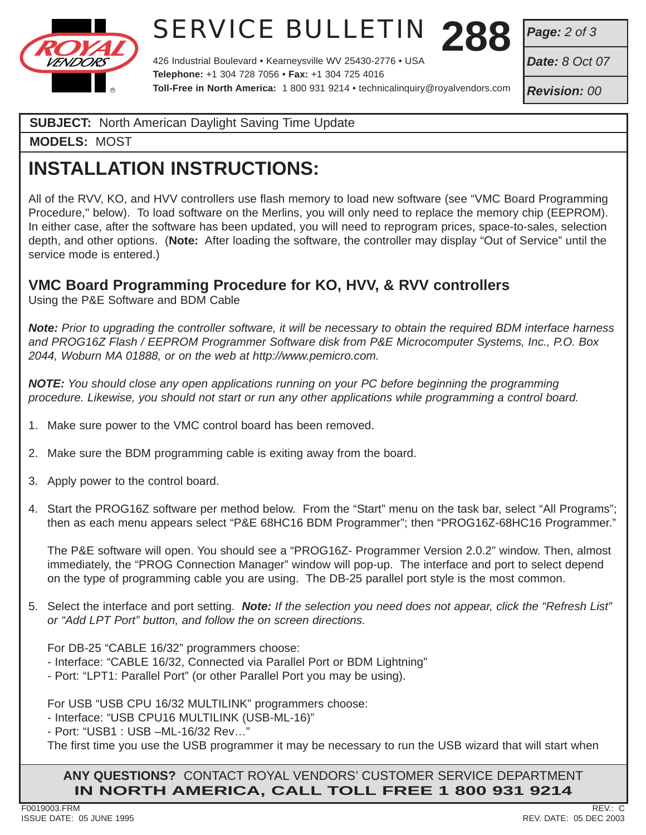

# **288** SERVICE BULLETIN

426 Industrial Boulevard • Kearneysville WV 25430-2776 • USA **Telephone:** +1 304 728 7056 • **Fax:** +1 304 725 4016 **Toll-Free in North America:** 1 800 931 9214 • technicalinquiry@royalvendors.com *Page: 2 of 3*

*Date: 8 Oct 07*

*Revision: 00*

#### **SUBJECT:** North American Daylight Saving Time Update

**MODELS:** MOST

## **INSTALLATION INSTRUCTIONS:**

All of the RVV, KO, and HVV controllers use flash memory to load new software (see "VMC Board Programming Procedure," below). To load software on the Merlins, you will only need to replace the memory chip (EEPROM). In either case, after the software has been updated, you will need to reprogram prices, space-to-sales, selection depth, and other options. (**Note:** After loading the software, the controller may display "Out of Service" until the service mode is entered.)

### **VMC Board Programming Procedure for KO, HVV, & RVV controllers**

Using the P&E Software and BDM Cable

*Note: Prior to upgrading the controller software, it will be necessary to obtain the required BDM interface harness and PROG16Z Flash / EEPROM Programmer Software disk from P&E Microcomputer Systems, Inc., P.O. Box 2044, Woburn MA 01888, or on the web at http://www.pemicro.com.*

*NOTE: You should close any open applications running on your PC before beginning the programming procedure. Likewise, you should not start or run any other applications while programming a control board.*

- 1. Make sure power to the VMC control board has been removed.
- 2. Make sure the BDM programming cable is exiting away from the board.
- 3. Apply power to the control board.
- 4. Start the PROG16Z software per method below. From the "Start" menu on the task bar, select "All Programs"; then as each menu appears select "P&E 68HC16 BDM Programmer"; then "PROG16Z-68HC16 Programmer."

 The P&E software will open. You should see a "PROG16Z- Programmer Version 2.0.2" window. Then, almost immediately, the "PROG Connection Manager" window will pop-up. The interface and port to select depend on the type of programming cable you are using. The DB-25 parallel port style is the most common.

5. Select the interface and port setting. *Note: If the selection you need does not appear, click the "Refresh List" or "Add LPT Port" button, and follow the on screen directions.*

For DB-25 "CABLE 16/32" programmers choose:

- Interface: "CABLE 16/32, Connected via Parallel Port or BDM Lightning"

- Port: "LPT1: Parallel Port" (or other Parallel Port you may be using).

For USB "USB CPU 16/32 MULTILINK" programmers choose:

- Interface: "USB CPU16 MULTILINK (USB-ML-16)"

- Port: "USB1 : USB –ML-16/32 Rev…"

The first time you use the USB programmer it may be necessary to run the USB wizard that will start when

**ANY QUESTIONS?** CONTACT ROYAL VENDORS' CUSTOMER SERVICE DEPARTMENT **IN NORTH AMERICA, CALL TOLL FREE 1 800 931 9214**